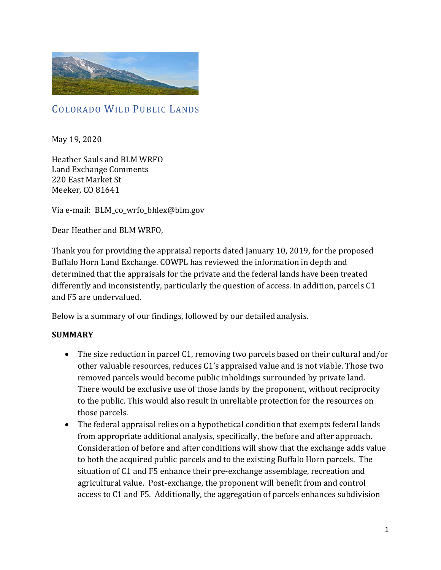

# COLORADO WILD PUBLIC LANDS

May 19, 2020

Heather Sauls and BLM WRFO Land Exchange Comments 220 East Market St Meeker, CO 81641

Via e-mail: BLM\_co\_wrfo\_bhlex@blm.gov

Dear Heather and BLM WRFO,

Thank you for providing the appraisal reports dated January 10, 2019, for the proposed Buffalo Horn Land Exchange. COWPL has reviewed the information in depth and determined that the appraisals for the private and the federal lands have been treated differently and inconsistently, particularly the question of access. In addition, parcels C1 and F5 are undervalued.

Below is a summary of our findings, followed by our detailed analysis.

#### **SUMMARY**

- The size reduction in parcel C1, removing two parcels based on their cultural and/or other valuable resources, reduces C1's appraised value and is not viable. Those two removed parcels would become public inholdings surrounded by private land. There would be exclusive use of those lands by the proponent, without reciprocity to the public. This would also result in unreliable protection for the resources on those parcels.
- The federal appraisal relies on a hypothetical condition that exempts federal lands from appropriate additional analysis, specifically, the before and after approach. Consideration of before and after conditions will show that the exchange adds value to both the acquired public parcels and to the existing Buffalo Horn parcels. The situation of C1 and F5 enhance their pre-exchange assemblage, recreation and agricultural value. Post-exchange, the proponent will benefit from and control access to C1 and F5. Additionally, the aggregation of parcels enhances subdivision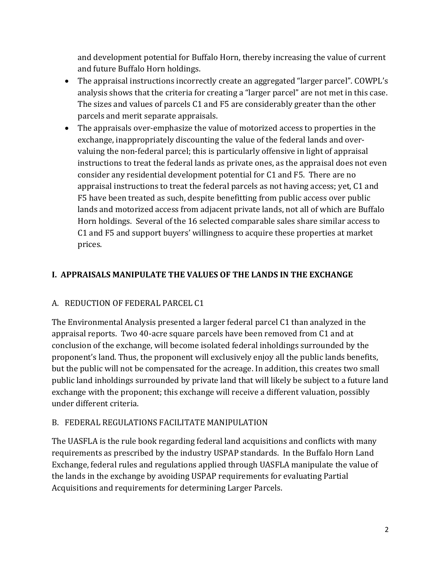and development potential for Buffalo Horn, thereby increasing the value of current and future Buffalo Horn holdings.

- The appraisal instructions incorrectly create an aggregated "larger parcel". COWPL's analysis shows that the criteria for creating a "larger parcel" are not met in this case. The sizes and values of parcels C1 and F5 are considerably greater than the other parcels and merit separate appraisals.
- The appraisals over-emphasize the value of motorized access to properties in the exchange, inappropriately discounting the value of the federal lands and overvaluing the non-federal parcel; this is particularly offensive in light of appraisal instructions to treat the federal lands as private ones, as the appraisal does not even consider any residential development potential for C1 and F5. There are no appraisal instructions to treat the federal parcels as not having access; yet, C1 and F5 have been treated as such, despite benefitting from public access over public lands and motorized access from adjacent private lands, not all of which are Buffalo Horn holdings. Several of the 16 selected comparable sales share similar access to C1 and F5 and support buyers' willingness to acquire these properties at market prices.

# **I. APPRAISALS MANIPULATE THE VALUES OF THE LANDS IN THE EXCHANGE**

# A. REDUCTION OF FEDERAL PARCEL C1

The Environmental Analysis presented a larger federal parcel C1 than analyzed in the appraisal reports. Two 40-acre square parcels have been removed from C1 and at conclusion of the exchange, will become isolated federal inholdings surrounded by the proponent's land. Thus, the proponent will exclusively enjoy all the public lands benefits, but the public will not be compensated for the acreage. In addition, this creates two small public land inholdings surrounded by private land that will likely be subject to a future land exchange with the proponent; this exchange will receive a different valuation, possibly under different criteria.

# B. FEDERAL REGULATIONS FACILITATE MANIPULATION

The UASFLA is the rule book regarding federal land acquisitions and conflicts with many requirements as prescribed by the industry USPAP standards. In the Buffalo Horn Land Exchange, federal rules and regulations applied through UASFLA manipulate the value of the lands in the exchange by avoiding USPAP requirements for evaluating Partial Acquisitions and requirements for determining Larger Parcels.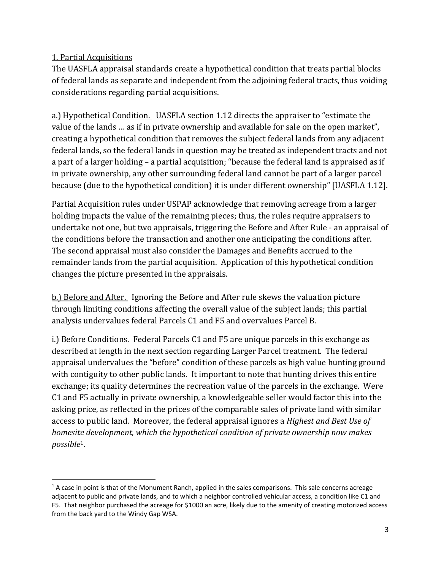#### 1. Partial Acquisitions

The UASFLA appraisal standards create a hypothetical condition that treats partial blocks of federal lands as separate and independent from the adjoining federal tracts, thus voiding considerations regarding partial acquisitions.

a.) Hypothetical Condition. UASFLA section 1.12 directs the appraiser to "estimate the value of the lands … as if in private ownership and available for sale on the open market", creating a hypothetical condition that removes the subject federal lands from any adjacent federal lands, so the federal lands in question may be treated as independent tracts and not a part of a larger holding – a partial acquisition; "because the federal land is appraised as if in private ownership, any other surrounding federal land cannot be part of a larger parcel because (due to the hypothetical condition) it is under different ownership" [UASFLA 1.12].

Partial Acquisition rules under USPAP acknowledge that removing acreage from a larger holding impacts the value of the remaining pieces; thus, the rules require appraisers to undertake not one, but two appraisals, triggering the Before and After Rule - an appraisal of the conditions before the transaction and another one anticipating the conditions after. The second appraisal must also consider the Damages and Benefits accrued to the remainder lands from the partial acquisition. Application of this hypothetical condition changes the picture presented in the appraisals.

b.) Before and After. Ignoring the Before and After rule skews the valuation picture through limiting conditions affecting the overall value of the subject lands; this partial analysis undervalues federal Parcels C1 and F5 and overvalues Parcel B.

i.) Before Conditions. Federal Parcels C1 and F5 are unique parcels in this exchange as described at length in the next section regarding Larger Parcel treatment. The federal appraisal undervalues the "before" condition of these parcels as high value hunting ground with contiguity to other public lands. It important to note that hunting drives this entire exchange; its quality determines the recreation value of the parcels in the exchange. Were C1 and F5 actually in private ownership, a knowledgeable seller would factor this into the asking price, as reflected in the prices of the comparable sales of private land with similar access to public land. Moreover, the federal appraisal ignores a *Highest and Best Use of homesite development, which the hypothetical condition of private ownership now makes possible*1.

 $1$  A case in point is that of the Monument Ranch, applied in the sales comparisons. This sale concerns acreage adjacent to public and private lands, and to which a neighbor controlled vehicular access, a condition like C1 and F5. That neighbor purchased the acreage for \$1000 an acre, likely due to the amenity of creating motorized access from the back yard to the Windy Gap WSA.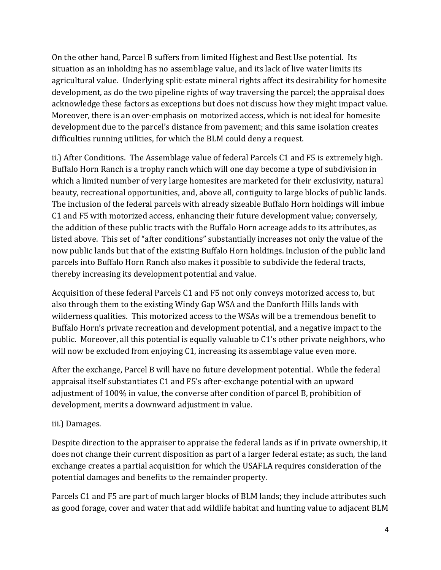On the other hand, Parcel B suffers from limited Highest and Best Use potential. Its situation as an inholding has no assemblage value, and its lack of live water limits its agricultural value. Underlying split-estate mineral rights affect its desirability for homesite development, as do the two pipeline rights of way traversing the parcel; the appraisal does acknowledge these factors as exceptions but does not discuss how they might impact value. Moreover, there is an over-emphasis on motorized access, which is not ideal for homesite development due to the parcel's distance from pavement; and this same isolation creates difficulties running utilities, for which the BLM could deny a request.

ii.) After Conditions. The Assemblage value of federal Parcels C1 and F5 is extremely high. Buffalo Horn Ranch is a trophy ranch which will one day become a type of subdivision in which a limited number of very large homesites are marketed for their exclusivity, natural beauty, recreational opportunities, and, above all, contiguity to large blocks of public lands. The inclusion of the federal parcels with already sizeable Buffalo Horn holdings will imbue C1 and F5 with motorized access, enhancing their future development value; conversely, the addition of these public tracts with the Buffalo Horn acreage adds to its attributes, as listed above. This set of "after conditions" substantially increases not only the value of the now public lands but that of the existing Buffalo Horn holdings. Inclusion of the public land parcels into Buffalo Horn Ranch also makes it possible to subdivide the federal tracts, thereby increasing its development potential and value.

Acquisition of these federal Parcels C1 and F5 not only conveys motorized access to, but also through them to the existing Windy Gap WSA and the Danforth Hills lands with wilderness qualities. This motorized access to the WSAs will be a tremendous benefit to Buffalo Horn's private recreation and development potential, and a negative impact to the public. Moreover, all this potential is equally valuable to C1's other private neighbors, who will now be excluded from enjoying C1, increasing its assemblage value even more.

After the exchange, Parcel B will have no future development potential. While the federal appraisal itself substantiates C1 and F5's after-exchange potential with an upward adjustment of 100% in value, the converse after condition of parcel B, prohibition of development, merits a downward adjustment in value.

#### iii.) Damages.

Despite direction to the appraiser to appraise the federal lands as if in private ownership, it does not change their current disposition as part of a larger federal estate; as such, the land exchange creates a partial acquisition for which the USAFLA requires consideration of the potential damages and benefits to the remainder property.

Parcels C1 and F5 are part of much larger blocks of BLM lands; they include attributes such as good forage, cover and water that add wildlife habitat and hunting value to adjacent BLM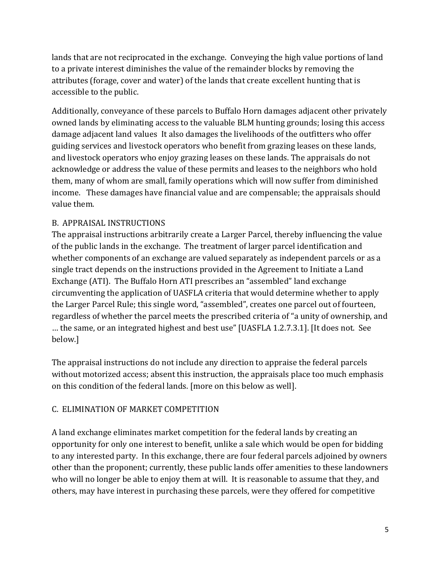lands that are not reciprocated in the exchange. Conveying the high value portions of land to a private interest diminishes the value of the remainder blocks by removing the attributes (forage, cover and water) of the lands that create excellent hunting that is accessible to the public.

Additionally, conveyance of these parcels to Buffalo Horn damages adjacent other privately owned lands by eliminating access to the valuable BLM hunting grounds; losing this access damage adjacent land values It also damages the livelihoods of the outfitters who offer guiding services and livestock operators who benefit from grazing leases on these lands, and livestock operators who enjoy grazing leases on these lands. The appraisals do not acknowledge or address the value of these permits and leases to the neighbors who hold them, many of whom are small, family operations which will now suffer from diminished income. These damages have financial value and are compensable; the appraisals should value them.

# B. APPRAISAL INSTRUCTIONS

The appraisal instructions arbitrarily create a Larger Parcel, thereby influencing the value of the public lands in the exchange. The treatment of larger parcel identification and whether components of an exchange are valued separately as independent parcels or as a single tract depends on the instructions provided in the Agreement to Initiate a Land Exchange (ATI). The Buffalo Horn ATI prescribes an "assembled" land exchange circumventing the application of UASFLA criteria that would determine whether to apply the Larger Parcel Rule; this single word, "assembled", creates one parcel out of fourteen, regardless of whether the parcel meets the prescribed criteria of "a unity of ownership, and … the same, or an integrated highest and best use" [UASFLA 1.2.7.3.1]. [It does not. See below.]

The appraisal instructions do not include any direction to appraise the federal parcels without motorized access; absent this instruction, the appraisals place too much emphasis on this condition of the federal lands. [more on this below as well].

#### C. ELIMINATION OF MARKET COMPETITION

A land exchange eliminates market competition for the federal lands by creating an opportunity for only one interest to benefit, unlike a sale which would be open for bidding to any interested party. In this exchange, there are four federal parcels adjoined by owners other than the proponent; currently, these public lands offer amenities to these landowners who will no longer be able to enjoy them at will. It is reasonable to assume that they, and others, may have interest in purchasing these parcels, were they offered for competitive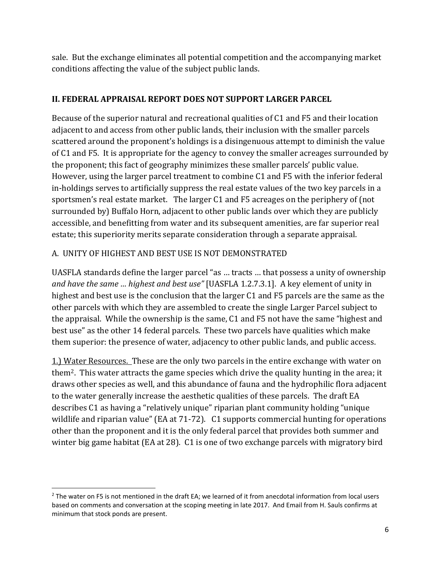sale. But the exchange eliminates all potential competition and the accompanying market conditions affecting the value of the subject public lands.

#### **II. FEDERAL APPRAISAL REPORT DOES NOT SUPPORT LARGER PARCEL**

Because of the superior natural and recreational qualities of C1 and F5 and their location adjacent to and access from other public lands, their inclusion with the smaller parcels scattered around the proponent's holdings is a disingenuous attempt to diminish the value of C1 and F5. It is appropriate for the agency to convey the smaller acreages surrounded by the proponent; this fact of geography minimizes these smaller parcels' public value. However, using the larger parcel treatment to combine C1 and F5 with the inferior federal in-holdings serves to artificially suppress the real estate values of the two key parcels in a sportsmen's real estate market. The larger C1 and F5 acreages on the periphery of (not surrounded by) Buffalo Horn, adjacent to other public lands over which they are publicly accessible, and benefitting from water and its subsequent amenities, are far superior real estate; this superiority merits separate consideration through a separate appraisal.

#### A. UNITY OF HIGHEST AND BEST USE IS NOT DEMONSTRATED

UASFLA standards define the larger parcel "as … tracts … that possess a unity of ownership *and have the same … highest and best use"* [UASFLA 1.2.7.3.1]. A key element of unity in highest and best use is the conclusion that the larger C1 and F5 parcels are the same as the other parcels with which they are assembled to create the single Larger Parcel subject to the appraisal. While the ownership is the same, C1 and F5 not have the same "highest and best use" as the other 14 federal parcels. These two parcels have qualities which make them superior: the presence of water, adjacency to other public lands, and public access.

1.) Water Resources. These are the only two parcels in the entire exchange with water on them2. This water attracts the game species which drive the quality hunting in the area; it draws other species as well, and this abundance of fauna and the hydrophilic flora adjacent to the water generally increase the aesthetic qualities of these parcels. The draft EA describes C1 as having a "relatively unique" riparian plant community holding "unique wildlife and riparian value" (EA at 71-72). C1 supports commercial hunting for operations other than the proponent and it is the only federal parcel that provides both summer and winter big game habitat (EA at 28). C1 is one of two exchange parcels with migratory bird

 $2$  The water on F5 is not mentioned in the draft EA; we learned of it from anecdotal information from local users based on comments and conversation at the scoping meeting in late 2017. And Email from H. Sauls confirms at minimum that stock ponds are present.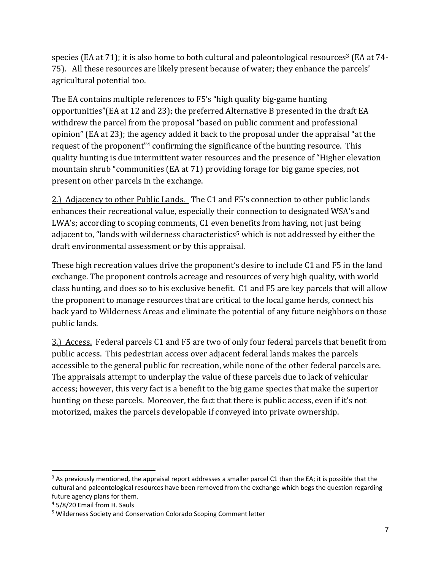species (EA at 71); it is also home to both cultural and paleontological resources<sup>3</sup> (EA at 74-75). All these resources are likely present because of water; they enhance the parcels' agricultural potential too.

The EA contains multiple references to F5's "high quality big-game hunting opportunities"(EA at 12 and 23); the preferred Alternative B presented in the draft EA withdrew the parcel from the proposal "based on public comment and professional opinion" (EA at 23); the agency added it back to the proposal under the appraisal "at the request of the proponent"4 confirming the significance of the hunting resource. This quality hunting is due intermittent water resources and the presence of "Higher elevation mountain shrub "communities (EA at 71) providing forage for big game species, not present on other parcels in the exchange.

2.) Adjacency to other Public Lands. The C1 and F5's connection to other public lands enhances their recreational value, especially their connection to designated WSA's and LWA's; according to scoping comments, C1 even benefits from having, not just being adjacent to, "lands with wilderness characteristics<sup>5</sup> which is not addressed by either the draft environmental assessment or by this appraisal.

These high recreation values drive the proponent's desire to include C1 and F5 in the land exchange. The proponent controls acreage and resources of very high quality, with world class hunting, and does so to his exclusive benefit. C1 and F5 are key parcels that will allow the proponent to manage resources that are critical to the local game herds, connect his back yard to Wilderness Areas and eliminate the potential of any future neighbors on those public lands.

3.) Access. Federal parcels C1 and F5 are two of only four federal parcels that benefit from public access. This pedestrian access over adjacent federal lands makes the parcels accessible to the general public for recreation, while none of the other federal parcels are. The appraisals attempt to underplay the value of these parcels due to lack of vehicular access; however, this very fact is a benefit to the big game species that make the superior hunting on these parcels. Moreover, the fact that there is public access, even if it's not motorized, makes the parcels developable if conveyed into private ownership.

 $3$  As previously mentioned, the appraisal report addresses a smaller parcel C1 than the EA; it is possible that the cultural and paleontological resources have been removed from the exchange which begs the question regarding future agency plans for them.

<sup>4</sup> 5/8/20 Email from H. Sauls

<sup>5</sup> Wilderness Society and Conservation Colorado Scoping Comment letter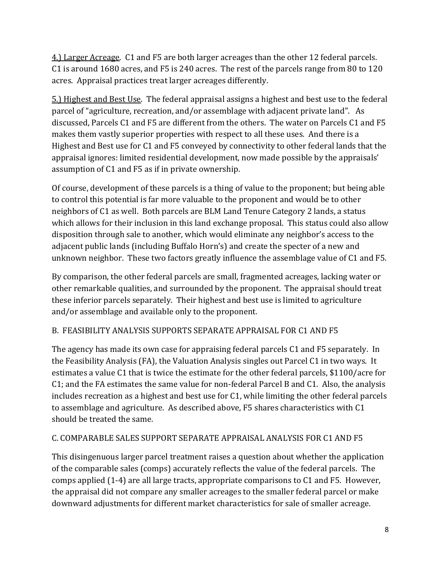4.) Larger Acreage. C1 and F5 are both larger acreages than the other 12 federal parcels. C1 is around 1680 acres, and F5 is 240 acres. The rest of the parcels range from 80 to 120 acres. Appraisal practices treat larger acreages differently.

5.) Highest and Best Use. The federal appraisal assigns a highest and best use to the federal parcel of "agriculture, recreation, and/or assemblage with adjacent private land". As discussed, Parcels C1 and F5 are different from the others. The water on Parcels C1 and F5 makes them vastly superior properties with respect to all these uses. And there is a Highest and Best use for C1 and F5 conveyed by connectivity to other federal lands that the appraisal ignores: limited residential development, now made possible by the appraisals' assumption of C1 and F5 as if in private ownership.

Of course, development of these parcels is a thing of value to the proponent; but being able to control this potential is far more valuable to the proponent and would be to other neighbors of C1 as well. Both parcels are BLM Land Tenure Category 2 lands, a status which allows for their inclusion in this land exchange proposal. This status could also allow disposition through sale to another, which would eliminate any neighbor's access to the adjacent public lands (including Buffalo Horn's) and create the specter of a new and unknown neighbor. These two factors greatly influence the assemblage value of C1 and F5.

By comparison, the other federal parcels are small, fragmented acreages, lacking water or other remarkable qualities, and surrounded by the proponent. The appraisal should treat these inferior parcels separately. Their highest and best use is limited to agriculture and/or assemblage and available only to the proponent.

# B. FEASIBILITY ANALYSIS SUPPORTS SEPARATE APPRAISAL FOR C1 AND F5

The agency has made its own case for appraising federal parcels C1 and F5 separately. In the Feasibility Analysis (FA), the Valuation Analysis singles out Parcel C1 in two ways. It estimates a value C1 that is twice the estimate for the other federal parcels, \$1100/acre for C1; and the FA estimates the same value for non-federal Parcel B and C1. Also, the analysis includes recreation as a highest and best use for C1, while limiting the other federal parcels to assemblage and agriculture. As described above, F5 shares characteristics with C1 should be treated the same.

# C. COMPARABLE SALES SUPPORT SEPARATE APPRAISAL ANALYSIS FOR C1 AND F5

This disingenuous larger parcel treatment raises a question about whether the application of the comparable sales (comps) accurately reflects the value of the federal parcels. The comps applied (1-4) are all large tracts, appropriate comparisons to C1 and F5. However, the appraisal did not compare any smaller acreages to the smaller federal parcel or make downward adjustments for different market characteristics for sale of smaller acreage.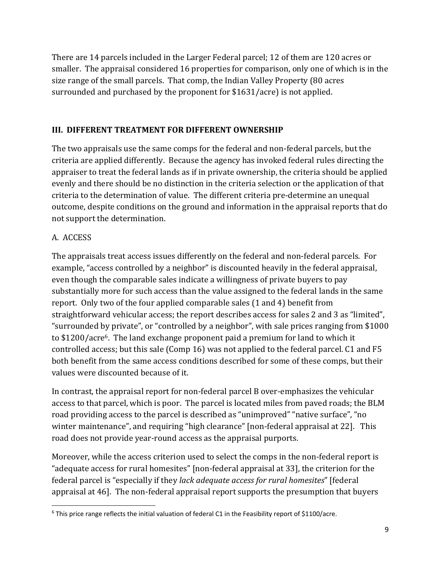There are 14 parcels included in the Larger Federal parcel; 12 of them are 120 acres or smaller. The appraisal considered 16 properties for comparison, only one of which is in the size range of the small parcels. That comp, the Indian Valley Property (80 acres surrounded and purchased by the proponent for \$1631/acre) is not applied.

#### **III. DIFFERENT TREATMENT FOR DIFFERENT OWNERSHIP**

The two appraisals use the same comps for the federal and non-federal parcels, but the criteria are applied differently. Because the agency has invoked federal rules directing the appraiser to treat the federal lands as if in private ownership, the criteria should be applied evenly and there should be no distinction in the criteria selection or the application of that criteria to the determination of value. The different criteria pre-determine an unequal outcome, despite conditions on the ground and information in the appraisal reports that do not support the determination.

# A. ACCESS

The appraisals treat access issues differently on the federal and non-federal parcels. For example, "access controlled by a neighbor" is discounted heavily in the federal appraisal, even though the comparable sales indicate a willingness of private buyers to pay substantially more for such access than the value assigned to the federal lands in the same report. Only two of the four applied comparable sales (1 and 4) benefit from straightforward vehicular access; the report describes access for sales 2 and 3 as "limited", "surrounded by private", or "controlled by a neighbor", with sale prices ranging from \$1000 to \$1200/acre6. The land exchange proponent paid a premium for land to which it controlled access; but this sale (Comp 16) was not applied to the federal parcel. C1 and F5 both benefit from the same access conditions described for some of these comps, but their values were discounted because of it.

In contrast, the appraisal report for non-federal parcel B over-emphasizes the vehicular access to that parcel, which is poor. The parcel is located miles from paved roads; the BLM road providing access to the parcel is described as "unimproved" "native surface", "no winter maintenance", and requiring "high clearance" [non-federal appraisal at 22]. This road does not provide year-round access as the appraisal purports.

Moreover, while the access criterion used to select the comps in the non-federal report is "adequate access for rural homesites" [non-federal appraisal at 33], the criterion for the federal parcel is "especially if they *lack adequate access for rural homesites*" [federal appraisal at 46]. The non-federal appraisal report supports the presumption that buyers

<sup>6</sup> This price range reflects the initial valuation of federal C1 in the Feasibility report of \$1100/acre.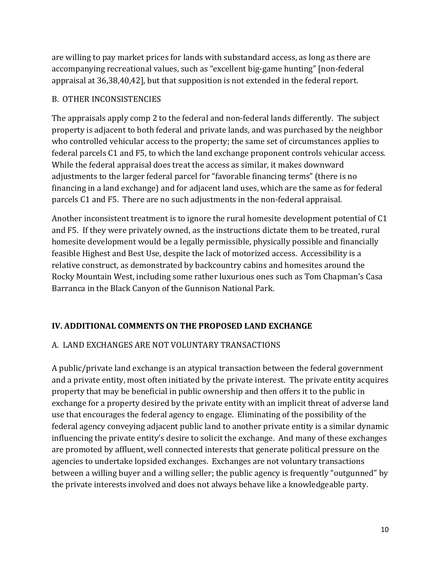are willing to pay market prices for lands with substandard access, as long as there are accompanying recreational values, such as "excellent big-game hunting" [non-federal appraisal at 36,38,40,42], but that supposition is not extended in the federal report.

### B. OTHER INCONSISTENCIES

The appraisals apply comp 2 to the federal and non-federal lands differently. The subject property is adjacent to both federal and private lands, and was purchased by the neighbor who controlled vehicular access to the property; the same set of circumstances applies to federal parcels C1 and F5, to which the land exchange proponent controls vehicular access. While the federal appraisal does treat the access as similar, it makes downward adjustments to the larger federal parcel for "favorable financing terms" (there is no financing in a land exchange) and for adjacent land uses, which are the same as for federal parcels C1 and F5. There are no such adjustments in the non-federal appraisal.

Another inconsistent treatment is to ignore the rural homesite development potential of C1 and F5. If they were privately owned, as the instructions dictate them to be treated, rural homesite development would be a legally permissible, physically possible and financially feasible Highest and Best Use, despite the lack of motorized access. Accessibility is a relative construct, as demonstrated by backcountry cabins and homesites around the Rocky Mountain West, including some rather luxurious ones such as Tom Chapman's Casa Barranca in the Black Canyon of the Gunnison National Park.

# **IV. ADDITIONAL COMMENTS ON THE PROPOSED LAND EXCHANGE**

# A. LAND EXCHANGES ARE NOT VOLUNTARY TRANSACTIONS

A public/private land exchange is an atypical transaction between the federal government and a private entity, most often initiated by the private interest. The private entity acquires property that may be beneficial in public ownership and then offers it to the public in exchange for a property desired by the private entity with an implicit threat of adverse land use that encourages the federal agency to engage. Eliminating of the possibility of the federal agency conveying adjacent public land to another private entity is a similar dynamic influencing the private entity's desire to solicit the exchange. And many of these exchanges are promoted by affluent, well connected interests that generate political pressure on the agencies to undertake lopsided exchanges. Exchanges are not voluntary transactions between a willing buyer and a willing seller; the public agency is frequently "outgunned" by the private interests involved and does not always behave like a knowledgeable party.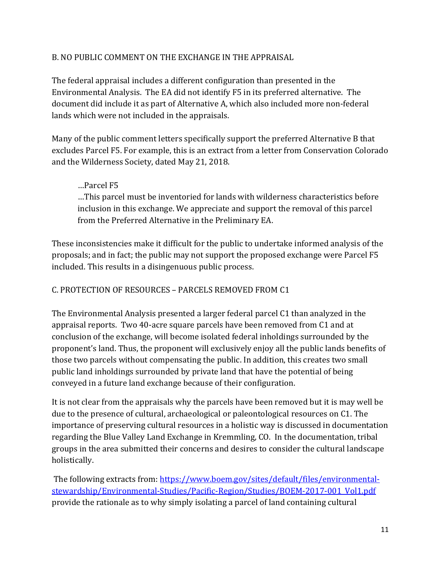#### B. NO PUBLIC COMMENT ON THE EXCHANGE IN THE APPRAISAL

The federal appraisal includes a different configuration than presented in the Environmental Analysis. The EA did not identify F5 in its preferred alternative. The document did include it as part of Alternative A, which also included more non-federal lands which were not included in the appraisals.

Many of the public comment letters specifically support the preferred Alternative B that excludes Parcel F5. For example, this is an extract from a letter from Conservation Colorado and the Wilderness Society, dated May 21, 2018.

#### …Parcel F5 …This parcel must be inventoried for lands with wilderness characteristics before inclusion in this exchange. We appreciate and support the removal of this parcel from the Preferred Alternative in the Preliminary EA.

These inconsistencies make it difficult for the public to undertake informed analysis of the proposals; and in fact; the public may not support the proposed exchange were Parcel F5 included. This results in a disingenuous public process.

### C. PROTECTION OF RESOURCES – PARCELS REMOVED FROM C1

The Environmental Analysis presented a larger federal parcel C1 than analyzed in the appraisal reports. Two 40-acre square parcels have been removed from C1 and at conclusion of the exchange, will become isolated federal inholdings surrounded by the proponent's land. Thus, the proponent will exclusively enjoy all the public lands benefits of those two parcels without compensating the public. In addition, this creates two small public land inholdings surrounded by private land that have the potential of being conveyed in a future land exchange because of their configuration.

It is not clear from the appraisals why the parcels have been removed but it is may well be due to the presence of cultural, archaeological or paleontological resources on C1. The importance of preserving cultural resources in a holistic way is discussed in documentation regarding the Blue Valley Land Exchange in Kremmling, CO. In the documentation, tribal groups in the area submitted their concerns and desires to consider the cultural landscape holistically.

 The following extracts from: https://www.boem.gov/sites/default/files/environmentalstewardship/Environmental-Studies/Pacific-Region/Studies/BOEM-2017-001\_Vol1.pdf provide the rationale as to why simply isolating a parcel of land containing cultural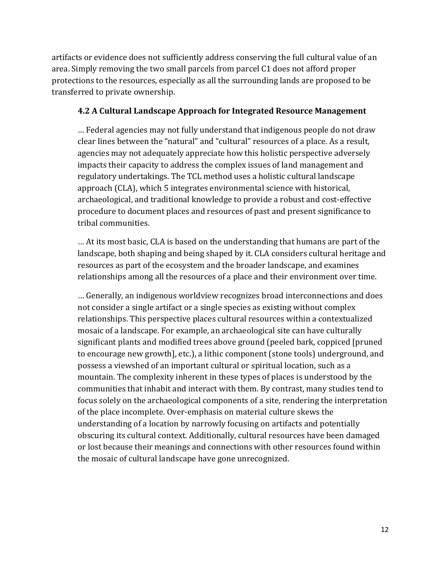artifacts or evidence does not sufficiently address conserving the full cultural value of an area. Simply removing the two small parcels from parcel C1 does not afford proper protections to the resources, especially as all the surrounding lands are proposed to be transferred to private ownership.

#### **4.2 A Cultural Landscape Approach for Integrated Resource Management**

… Federal agencies may not fully understand that indigenous people do not draw clear lines between the "natural" and "cultural" resources of a place. As a result, agencies may not adequately appreciate how this holistic perspective adversely impacts their capacity to address the complex issues of land management and regulatory undertakings. The TCL method uses a holistic cultural landscape approach (CLA), which 5 integrates environmental science with historical, archaeological, and traditional knowledge to provide a robust and cost-effective procedure to document places and resources of past and present significance to tribal communities.

… At its most basic, CLA is based on the understanding that humans are part of the landscape, both shaping and being shaped by it. CLA considers cultural heritage and resources as part of the ecosystem and the broader landscape, and examines relationships among all the resources of a place and their environment over time.

… Generally, an indigenous worldview recognizes broad interconnections and does not consider a single artifact or a single species as existing without complex relationships. This perspective places cultural resources within a contextualized mosaic of a landscape. For example, an archaeological site can have culturally significant plants and modified trees above ground (peeled bark, coppiced [pruned to encourage new growth], etc.), a lithic component (stone tools) underground, and possess a viewshed of an important cultural or spiritual location, such as a mountain. The complexity inherent in these types of places is understood by the communities that inhabit and interact with them. By contrast, many studies tend to focus solely on the archaeological components of a site, rendering the interpretation of the place incomplete. Over-emphasis on material culture skews the understanding of a location by narrowly focusing on artifacts and potentially obscuring its cultural context. Additionally, cultural resources have been damaged or lost because their meanings and connections with other resources found within the mosaic of cultural landscape have gone unrecognized.